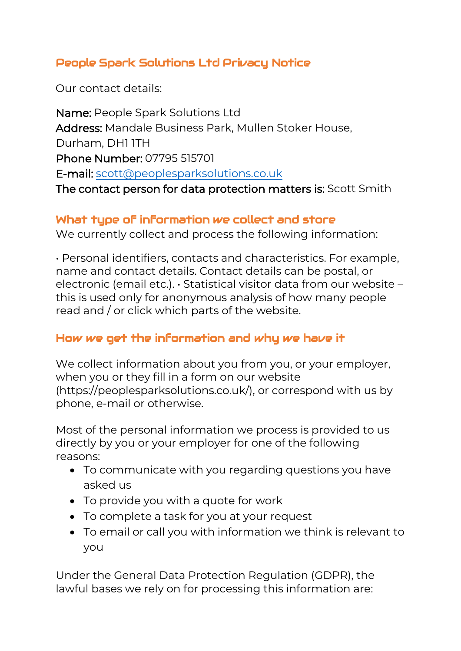# People Spark Solutions Ltd Privacy Notice

Our contact details:

Name: People Spark Solutions Ltd Address: Mandale Business Park, Mullen Stoker House, Durham, DH1 1TH Phone Number: [07795 515701](mailto:scott@peoplesparksolutions.co.uk)  E-mail: scott@peoplesparksolutions.co.uk The contact person for data protection matters is: Scott Smith

## What type of information we collect and store

We currently collect and process the following information:

• Personal identifiers, contacts and characteristics. For example, name and contact details. Contact details can be postal, or electronic (email etc.). • Statistical visitor data from our website – this is used only for anonymous analysis of how many people read and / or click which parts of the website.

## How we get the information and why we have it

We collect information about you from you, or your employer, when you or they fill in a form on our website (https://peoplesparksolutions.co.uk/), or correspond with us by phone, e-mail or otherwise.

Most of the personal information we process is provided to us directly by you or your employer for one of the following reasons:

- To communicate with you regarding questions you have asked us
- To provide you with a quote for work
- To complete a task for you at your request
- To email or call you with information we think is relevant to you

Under the General Data Protection Regulation (GDPR), the lawful bases we rely on for processing this information are: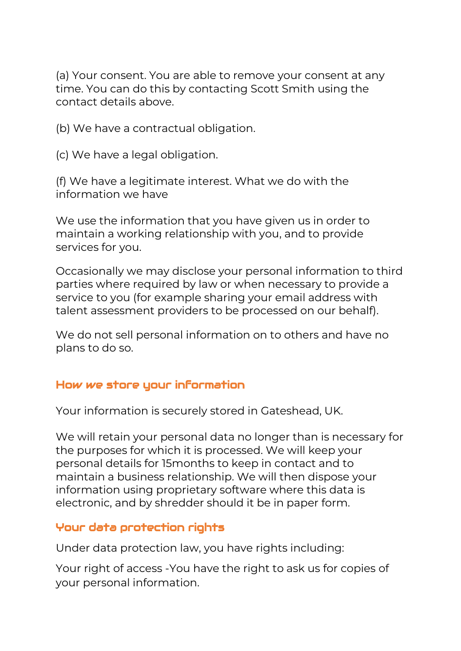(a) Your consent. You are able to remove your consent at any time. You can do this by contacting Scott Smith using the contact details above.

(b) We have a contractual obligation.

(c) We have a legal obligation.

(f) We have a legitimate interest. What we do with the information we have

We use the information that you have given us in order to maintain a working relationship with you, and to provide services for you.

Occasionally we may disclose your personal information to third parties where required by law or when necessary to provide a service to you (for example sharing your email address with talent assessment providers to be processed on our behalf).

We do not sell personal information on to others and have no plans to do so.

#### How we store your information

Your information is securely stored in Gateshead, UK.

We will retain your personal data no longer than is necessary for the purposes for which it is processed. We will keep your personal details for 15months to keep in contact and to maintain a business relationship. We will then dispose your information using proprietary software where this data is electronic, and by shredder should it be in paper form.

## Your data protection rights

Under data protection law, you have rights including:

Your right of access -You have the right to ask us for copies of your personal information.